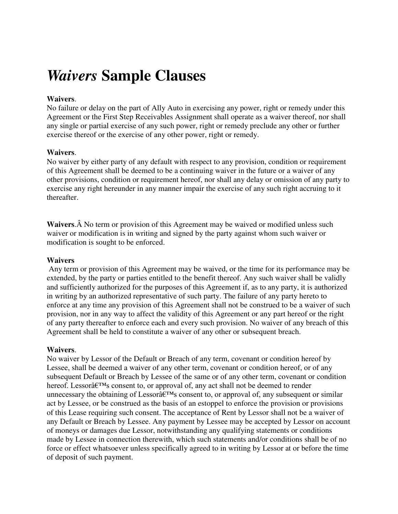# *Waivers* **Sample Clauses**

## **Waivers**.

No failure or delay on the part of Ally Auto in exercising any power, right or remedy under this Agreement or the First Step Receivables Assignment shall operate as a waiver thereof, nor shall any single or partial exercise of any such power, right or remedy preclude any other or further exercise thereof or the exercise of any other power, right or remedy.

### **Waivers**.

No waiver by either party of any default with respect to any provision, condition or requirement of this Agreement shall be deemed to be a continuing waiver in the future or a waiver of any other provisions, condition or requirement hereof, nor shall any delay or omission of any party to exercise any right hereunder in any manner impair the exercise of any such right accruing to it thereafter.

**Waivers.** A No term or provision of this Agreement may be waived or modified unless such waiver or modification is in writing and signed by the party against whom such waiver or modification is sought to be enforced.

### **Waivers**

 Any term or provision of this Agreement may be waived, or the time for its performance may be extended, by the party or parties entitled to the benefit thereof. Any such waiver shall be validly and sufficiently authorized for the purposes of this Agreement if, as to any party, it is authorized in writing by an authorized representative of such party. The failure of any party hereto to enforce at any time any provision of this Agreement shall not be construed to be a waiver of such provision, nor in any way to affect the validity of this Agreement or any part hereof or the right of any party thereafter to enforce each and every such provision. No waiver of any breach of this Agreement shall be held to constitute a waiver of any other or subsequent breach.

### **Waivers**.

No waiver by Lessor of the Default or Breach of any term, covenant or condition hereof by Lessee, shall be deemed a waiver of any other term, covenant or condition hereof, or of any subsequent Default or Breach by Lessee of the same or of any other term, covenant or condition hereof. Lessor $\hat{a} \in T^{M}$ s consent to, or approval of, any act shall not be deemed to render unnecessary the obtaining of Lessor $\hat{\mathfrak{g}}_{\text{TMs}}$  consent to, or approval of, any subsequent or similar act by Lessee, or be construed as the basis of an estoppel to enforce the provision or provisions of this Lease requiring such consent. The acceptance of Rent by Lessor shall not be a waiver of any Default or Breach by Lessee. Any payment by Lessee may be accepted by Lessor on account of moneys or damages due Lessor, notwithstanding any qualifying statements or conditions made by Lessee in connection therewith, which such statements and/or conditions shall be of no force or effect whatsoever unless specifically agreed to in writing by Lessor at or before the time of deposit of such payment.